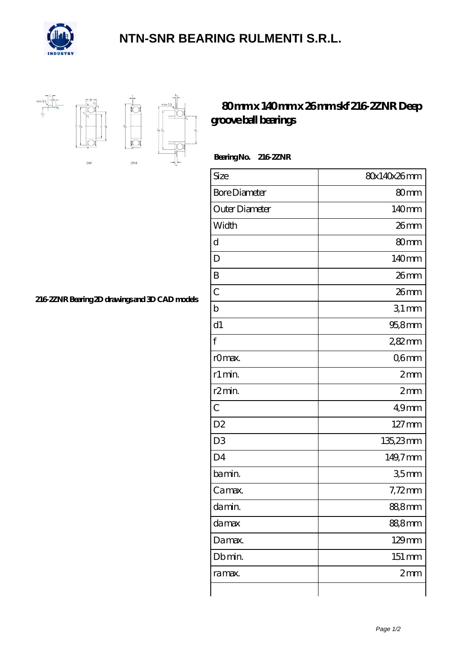

## **[NTN-SNR BEARING RULMENTI S.R.L.](https://m.confidencemenimprov.com)**



## **[80 mm x 140 mm x 26 mm skf 216-2ZNR Deep](https://m.confidencemenimprov.com/by-64974216-skf-216-2znr-deep-groove-ball-bearings.html) [groove ball bearings](https://m.confidencemenimprov.com/by-64974216-skf-216-2znr-deep-groove-ball-bearings.html)**

 **Bearing No. 216-2ZNR**

| Size                 | 80x140x26mm        |
|----------------------|--------------------|
| <b>Bore Diameter</b> | 80mm               |
| Outer Diameter       | 140mm              |
| Width                | $26$ mm            |
| d                    | 80 <sub>mm</sub>   |
| D                    | 140mm              |
| B                    | 26mm               |
| $\overline{C}$       | $26$ mm            |
| $\mathbf b$          | 31mm               |
| d1                   | 95,8mm             |
| f                    | 2,82mm             |
| rOmax.               | Q6mm               |
| r1 min.              | 2mm                |
| r <sub>2</sub> min.  | 2mm                |
| $\overline{C}$       | 49 <sub>mm</sub>   |
| D <sub>2</sub>       | 127 mm             |
| D <sub>3</sub>       | 135,23mm           |
| D <sub>4</sub>       | 149,7mm            |
| bamin.               | 35 <sub>mm</sub>   |
| Camax.               | $7,72$ mm          |
| damin.               | 88,8mm             |
| da max               | 888mm              |
| Damax.               | 129mm              |
| Db min.              | $151 \, \text{mm}$ |
| ra max.              | 2mm                |
|                      |                    |

**[216-2ZNR Bearing 2D drawings and 3D CAD models](https://m.confidencemenimprov.com/pic-64974216.html)**